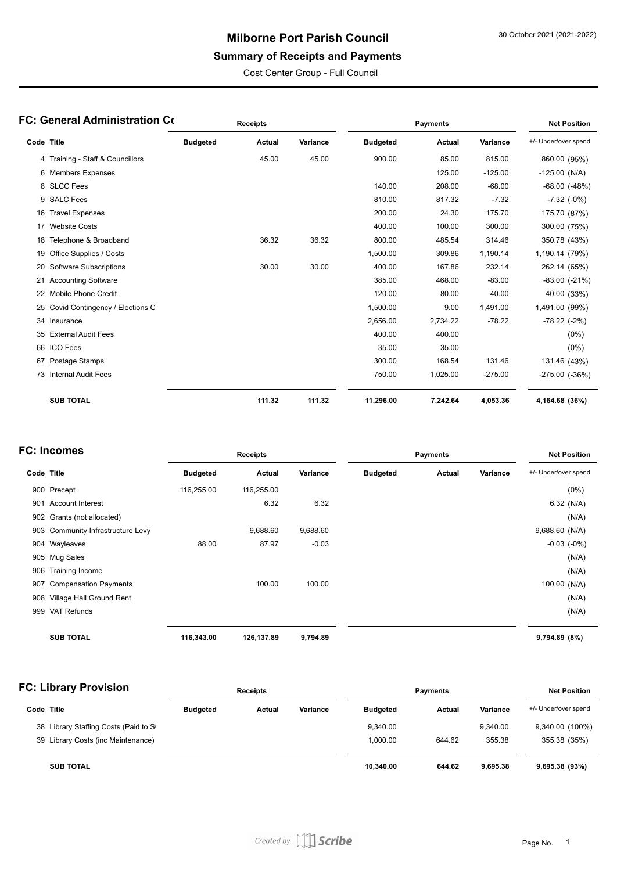### **Milborne Port Parish Council**

# **Summary of Receipts and Payments**

Cost Center Group - Full Council

| FC: General Administration Co |                                  | <b>Receipts</b> |        |          | <b>Payments</b> |          |           | <b>Net Position</b>  |
|-------------------------------|----------------------------------|-----------------|--------|----------|-----------------|----------|-----------|----------------------|
| Code Title                    |                                  | <b>Budgeted</b> | Actual | Variance | <b>Budgeted</b> | Actual   | Variance  | +/- Under/over spend |
|                               | 4 Training - Staff & Councillors |                 | 45.00  | 45.00    | 900.00          | 85.00    | 815.00    | 860.00 (95%)         |
|                               | 6 Members Expenses               |                 |        |          |                 | 125.00   | $-125.00$ | $-125.00$ (N/A)      |
|                               | 8 SLCC Fees                      |                 |        |          | 140.00          | 208.00   | $-68.00$  | $-68.00$ $(-48%)$    |
|                               | 9 SALC Fees                      |                 |        |          | 810.00          | 817.32   | $-7.32$   | $-7.32$ $(-0%)$      |
|                               | 16 Travel Expenses               |                 |        |          | 200.00          | 24.30    | 175.70    | 175.70 (87%)         |
| 17                            | <b>Website Costs</b>             |                 |        |          | 400.00          | 100.00   | 300.00    | 300.00 (75%)         |
| 18                            | Telephone & Broadband            |                 | 36.32  | 36.32    | 800.00          | 485.54   | 314.46    | 350.78 (43%)         |
| 19                            | Office Supplies / Costs          |                 |        |          | 1,500.00        | 309.86   | 1,190.14  | 1,190.14 (79%)       |
| 20                            | <b>Software Subscriptions</b>    |                 | 30.00  | 30.00    | 400.00          | 167.86   | 232.14    | 262.14 (65%)         |
|                               | 21 Accounting Software           |                 |        |          | 385.00          | 468.00   | $-83.00$  | $-83.00$ $(-21%)$    |
| 22                            | <b>Mobile Phone Credit</b>       |                 |        |          | 120.00          | 80.00    | 40.00     | 40.00 (33%)          |
| 25                            | Covid Contingency / Elections C  |                 |        |          | 1,500.00        | 9.00     | 1,491.00  | 1,491.00 (99%)       |
|                               | 34 Insurance                     |                 |        |          | 2,656.00        | 2,734.22 | $-78.22$  | $-78.22$ $(-2%)$     |
| 35                            | <b>External Audit Fees</b>       |                 |        |          | 400.00          | 400.00   |           | $(0\%)$              |
|                               | 66 ICO Fees                      |                 |        |          | 35.00           | 35.00    |           | $(0\%)$              |
|                               | 67 Postage Stamps                |                 |        |          | 300.00          | 168.54   | 131.46    | 131.46 (43%)         |
|                               | 73 Internal Audit Fees           |                 |        |          | 750.00          | 1,025.00 | $-275.00$ | $-275.00$ $(-36%)$   |
|                               | <b>SUB TOTAL</b>                 |                 | 111.32 | 111.32   | 11,296.00       | 7,242.64 | 4,053.36  | 4,164.68 (36%)       |

### **FC: Incomes**

| C: Incomes |                                   | <b>Receipts</b> |            |          | <b>Payments</b> |        |          | <b>Net Position</b>  |
|------------|-----------------------------------|-----------------|------------|----------|-----------------|--------|----------|----------------------|
| Code Title |                                   | <b>Budgeted</b> | Actual     | Variance | <b>Budgeted</b> | Actual | Variance | +/- Under/over spend |
|            | 900 Precept                       | 116,255.00      | 116,255.00 |          |                 |        |          | $(0\%)$              |
| 901        | <b>Account Interest</b>           |                 | 6.32       | 6.32     |                 |        |          | 6.32 $(N/A)$         |
|            | 902 Grants (not allocated)        |                 |            |          |                 |        |          | (N/A)                |
|            | 903 Community Infrastructure Levy |                 | 9,688.60   | 9,688.60 |                 |        |          | 9,688.60 (N/A)       |
|            | 904 Wayleaves                     | 88.00           | 87.97      | $-0.03$  |                 |        |          | $-0.03$ $(-0\%)$     |
|            | 905 Mug Sales                     |                 |            |          |                 |        |          | (N/A)                |
| 906        | Training Income                   |                 |            |          |                 |        |          | (N/A)                |
| 907        | <b>Compensation Payments</b>      |                 | 100.00     | 100.00   |                 |        |          | 100.00 (N/A)         |
| 908        | Village Hall Ground Rent          |                 |            |          |                 |        |          | (N/A)                |
| 999        | VAT Refunds                       |                 |            |          |                 |        |          | (N/A)                |
|            | <b>SUB TOTAL</b>                  | 116,343.00      | 126,137.89 | 9,794.89 |                 |        |          | 9,794.89 (8%)        |

| <b>FC: Library Provision</b> |                                       | <b>Receipts</b> |        |          | <b>Payments</b> |        |          | <b>Net Position</b>  |  |
|------------------------------|---------------------------------------|-----------------|--------|----------|-----------------|--------|----------|----------------------|--|
| Code Title                   |                                       | <b>Budgeted</b> | Actual | Variance | <b>Budgeted</b> | Actual | Variance | +/- Under/over spend |  |
|                              | 38 Library Staffing Costs (Paid to St |                 |        |          | 9,340.00        |        | 9.340.00 | 9,340.00 (100%)      |  |
|                              | 39 Library Costs (inc Maintenance)    |                 |        |          | 1.000.00        | 644.62 | 355.38   | 355.38 (35%)         |  |
|                              | <b>SUB TOTAL</b>                      |                 |        |          | 10,340.00       | 644.62 | 9.695.38 | 9,695.38 (93%)       |  |